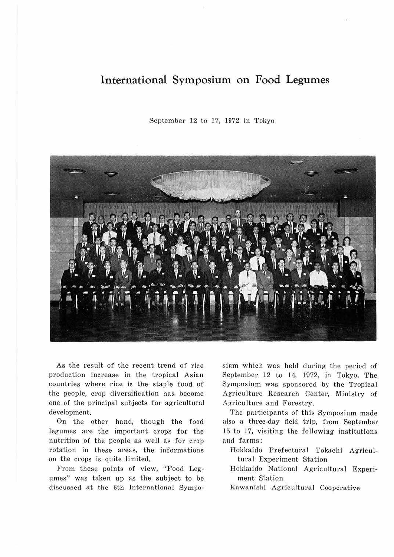## **International Symposium on Food Legumes**

September 12 to 17, 1972 in Tokyo



As the result of the recent trend of rice production increase in the tropical Asian countries where rice is the staple food of the people, crop diversification has become one of the principal subjects for agricultural development.

On the other hand, though the food legumes are the important crops for the nutrition of the people as well as for crop rotation in these areas, the informations on the crops is quite limited.

From these points of view, "Food Legumes" was taken up as the subject to be discussed at the 6th International Symposium which was held during the period of September 12 to 14, 1972, in Tokyo. The Symposium was sponsored by the Tropical Agriculture Research Center, Ministry of Agriculture and Forestry.

The participants of this Symposium made also a three-day field trip, from September 15 to 17, visiting the following institutions and farms:

- Hokkaido Prefectural Tokachi Agricultural Experiment Station
- Hokkaido National Agricultural Experiment Station
- Kawanishi Agricultural Cooperative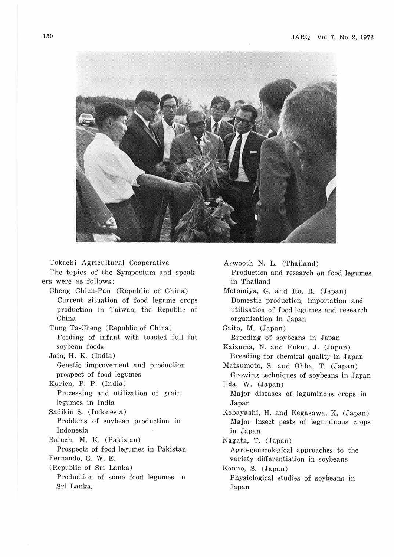

Tokachi Agricultural Cooperative The topics of the Symposium and speak-

ers were as follows:

Cheng Chien-Pan (Republic of China) Current situation of food legume crops production in Taiwan, the Republic of China

Tung Ta-Cheng (Republic of China) Feeding of infant with toasted full fat soybean foods

Jain, H. K. (India) Genetic improvement and production prospect of food legumes

Kurien, P. P. (India) Processing and utilization of grain legumes in India

Sadikin S. (Indonesia) Problems of soybean production in Indonesia

Baluch, M. K. (Pakistan)

Prospects of food legumes in Pakistan Fernando, G. W. E.

(Republic of Sri Lanka)

Production of some food legumes in Sri Lanka.

Arwooth N. L. (Thailand) Production and research on food legumes in Thailand Motomiya, G. and Ito, R. (Japan)

Domestic production, importation and utilization of food legumes and research organization in Japan

Saito, M. (Japan)

Breeding of soybeans in Japan Kaizuma, N. and Fukui, J. (Japan) Breeding for chemical quality in Japan Matsumoto, S. and Ohba, T. (Japan)

Growing techniques of soybeans in Japan Iida, W. (Japan)

Major diseases of leguminous crops in Japan

Kobayashi, H. and Kegasawa, K. (Japan ) Major insect pests of leguminous crops in Japan

Nagata, T. (Japan ) Agro-genecological approaches to the variety differentiation in soybeans

Konno, S. (Japan) Physiological studies of soybeans in Japan